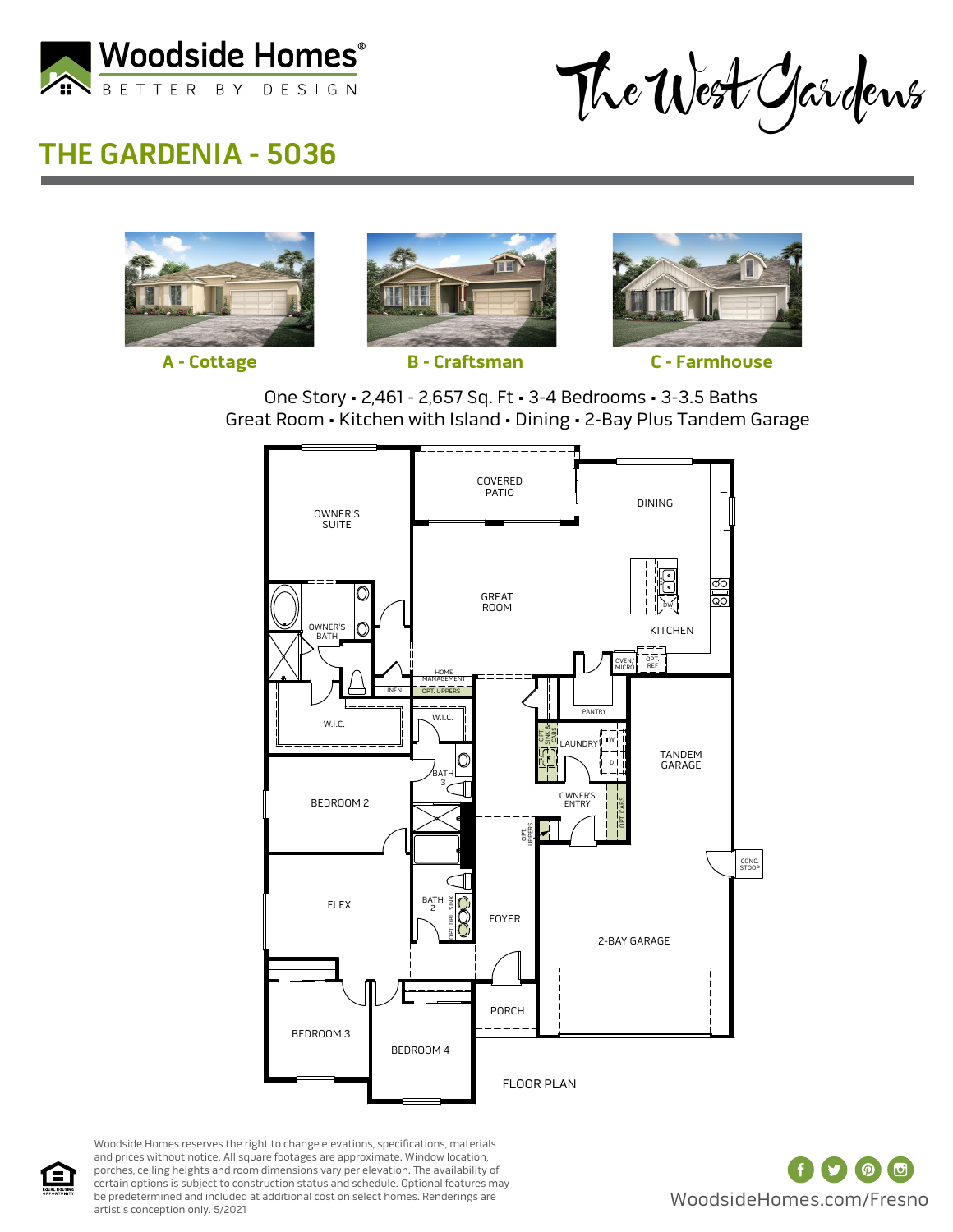

The West Gardens

## **THE GARDENIA - 5036**











**A - Cottage B - Craftsman C - Farmhouse**





Woodside Homes reserves the right to change elevations, specifications, materials and prices without notice. All square footages are approximate. Window location, porches, ceiling heights and room dimensions vary per elevation. The availability of certain options is subject to construction status and schedule. Optional features may be predetermined and included at additional cost on select homes. Renderings are artist's conception only. 5/2021